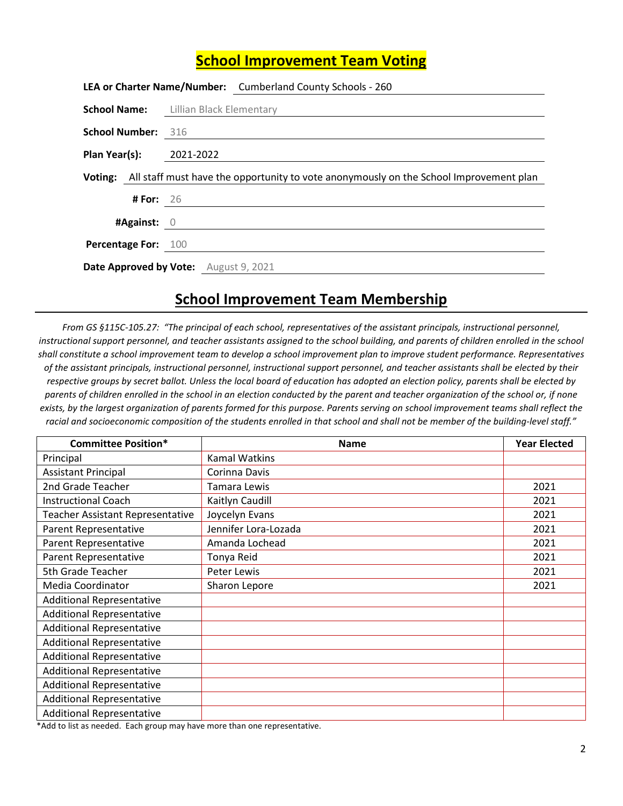## **School Improvement Team Voting**

|                                       |                  | LEA or Charter Name/Number: Cumberland County Schools - 260                                    |
|---------------------------------------|------------------|------------------------------------------------------------------------------------------------|
|                                       |                  | <b>School Name:</b> Lillian Black Elementary                                                   |
| <b>School Number: 316</b>             |                  |                                                                                                |
| Plan Year(s): 2021-2022               |                  |                                                                                                |
|                                       |                  | Voting: All staff must have the opportunity to vote anonymously on the School Improvement plan |
|                                       | <b># For: 26</b> |                                                                                                |
| #Against: 0                           |                  |                                                                                                |
| Percentage For: 100                   |                  |                                                                                                |
| Date Approved by Vote: August 9, 2021 |                  |                                                                                                |

## **School Improvement Team Membership**

*From GS §115C-105.27: "The principal of each school, representatives of the assistant principals, instructional personnel, instructional support personnel, and teacher assistants assigned to the school building, and parents of children enrolled in the school shall constitute a school improvement team to develop a school improvement plan to improve student performance. Representatives of the assistant principals, instructional personnel, instructional support personnel, and teacher assistants shall be elected by their respective groups by secret ballot. Unless the local board of education has adopted an election policy, parents shall be elected by parents of children enrolled in the school in an election conducted by the parent and teacher organization of the school or, if none exists, by the largest organization of parents formed for this purpose. Parents serving on school improvement teams shall reflect the racial and socioeconomic composition of the students enrolled in that school and shall not be member of the building-level staff."* 

| <b>Committee Position*</b>              | <b>Name</b>          | <b>Year Elected</b> |
|-----------------------------------------|----------------------|---------------------|
| Principal                               | Kamal Watkins        |                     |
| <b>Assistant Principal</b>              | Corinna Davis        |                     |
| 2nd Grade Teacher                       | Tamara Lewis         | 2021                |
| <b>Instructional Coach</b>              | Kaitlyn Caudill      | 2021                |
| <b>Teacher Assistant Representative</b> | Joycelyn Evans       | 2021                |
| Parent Representative                   | Jennifer Lora-Lozada | 2021                |
| Parent Representative                   | Amanda Lochead       | 2021                |
| Parent Representative                   | Tonya Reid           | 2021                |
| 5th Grade Teacher                       | Peter Lewis          | 2021                |
| Media Coordinator                       | Sharon Lepore        | 2021                |
| <b>Additional Representative</b>        |                      |                     |
| <b>Additional Representative</b>        |                      |                     |
| <b>Additional Representative</b>        |                      |                     |
| <b>Additional Representative</b>        |                      |                     |
| <b>Additional Representative</b>        |                      |                     |
| <b>Additional Representative</b>        |                      |                     |
| <b>Additional Representative</b>        |                      |                     |
| <b>Additional Representative</b>        |                      |                     |
| <b>Additional Representative</b>        |                      |                     |

\*Add to list as needed. Each group may have more than one representative.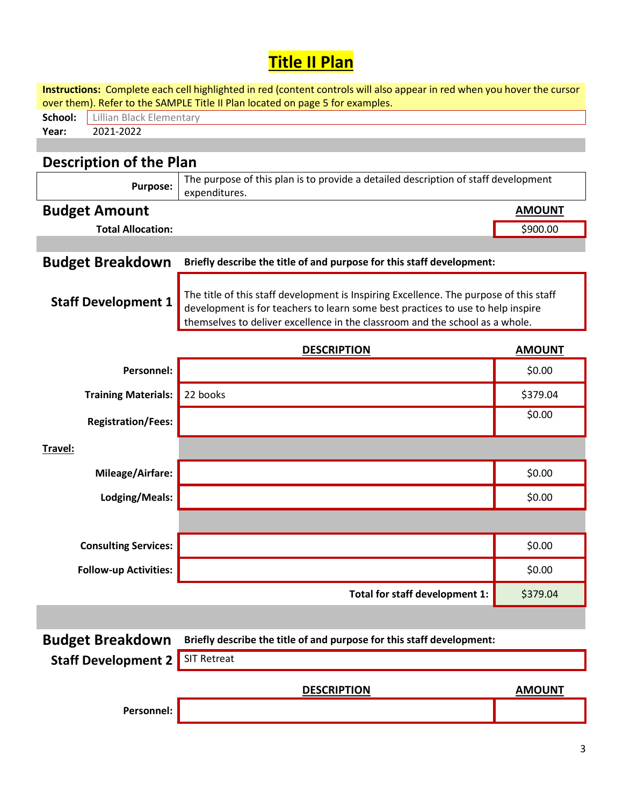## **Title II Plan**

| Instructions: Complete each cell highlighted in red (content controls will also appear in red when you hover the cursor |                                                                                                                                                                                                                                                           |               |  |  |  |
|-------------------------------------------------------------------------------------------------------------------------|-----------------------------------------------------------------------------------------------------------------------------------------------------------------------------------------------------------------------------------------------------------|---------------|--|--|--|
| over them). Refer to the SAMPLE Title II Plan located on page 5 for examples.<br>School:<br>Lillian Black Elementary    |                                                                                                                                                                                                                                                           |               |  |  |  |
| 2021-2022<br>Year:                                                                                                      |                                                                                                                                                                                                                                                           |               |  |  |  |
|                                                                                                                         |                                                                                                                                                                                                                                                           |               |  |  |  |
| <b>Description of the Plan</b>                                                                                          |                                                                                                                                                                                                                                                           |               |  |  |  |
| <b>Purpose:</b>                                                                                                         | The purpose of this plan is to provide a detailed description of staff development<br>expenditures.                                                                                                                                                       |               |  |  |  |
| <b>Budget Amount</b>                                                                                                    |                                                                                                                                                                                                                                                           | <b>AMOUNT</b> |  |  |  |
| <b>Total Allocation:</b>                                                                                                |                                                                                                                                                                                                                                                           | \$900.00      |  |  |  |
|                                                                                                                         |                                                                                                                                                                                                                                                           |               |  |  |  |
| <b>Budget Breakdown</b>                                                                                                 | Briefly describe the title of and purpose for this staff development:                                                                                                                                                                                     |               |  |  |  |
| <b>Staff Development 1</b>                                                                                              | The title of this staff development is Inspiring Excellence. The purpose of this staff<br>development is for teachers to learn some best practices to use to help inspire<br>themselves to deliver excellence in the classroom and the school as a whole. |               |  |  |  |
|                                                                                                                         | <b>DESCRIPTION</b>                                                                                                                                                                                                                                        | <b>AMOUNT</b> |  |  |  |
| Personnel:                                                                                                              |                                                                                                                                                                                                                                                           | \$0.00        |  |  |  |
| <b>Training Materials:</b>                                                                                              | 22 books                                                                                                                                                                                                                                                  | \$379.04      |  |  |  |
| <b>Registration/Fees:</b>                                                                                               |                                                                                                                                                                                                                                                           | \$0.00        |  |  |  |
| Travel:                                                                                                                 |                                                                                                                                                                                                                                                           |               |  |  |  |
| Mileage/Airfare:                                                                                                        |                                                                                                                                                                                                                                                           | \$0.00        |  |  |  |
| Lodging/Meals:                                                                                                          |                                                                                                                                                                                                                                                           | \$0.00        |  |  |  |
|                                                                                                                         |                                                                                                                                                                                                                                                           |               |  |  |  |
| <b>Consulting Services:</b>                                                                                             |                                                                                                                                                                                                                                                           | \$0.00        |  |  |  |
| <b>Follow-up Activities:</b>                                                                                            |                                                                                                                                                                                                                                                           | \$0.00        |  |  |  |
|                                                                                                                         | Total for staff development 1:                                                                                                                                                                                                                            | \$379.04      |  |  |  |
|                                                                                                                         |                                                                                                                                                                                                                                                           |               |  |  |  |
| <b>Budget Breakdown</b>                                                                                                 | Briefly describe the title of and purpose for this staff development:                                                                                                                                                                                     |               |  |  |  |
| <b>Staff Development 2</b>                                                                                              | <b>SIT Retreat</b>                                                                                                                                                                                                                                        |               |  |  |  |
|                                                                                                                         | <b>DESCRIPTION</b>                                                                                                                                                                                                                                        | <b>AMOUNT</b> |  |  |  |
| Personnel:                                                                                                              |                                                                                                                                                                                                                                                           |               |  |  |  |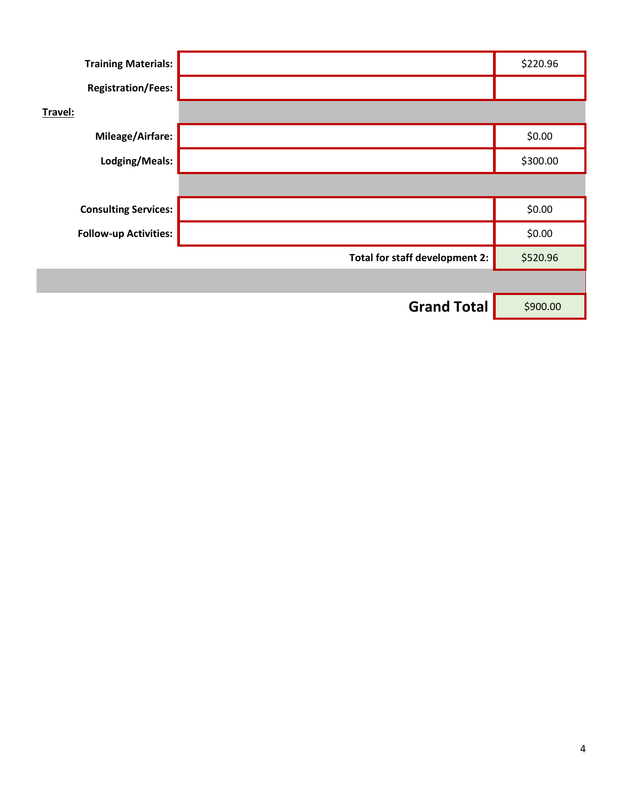| <b>Training Materials:</b>   |                                | \$220.96 |
|------------------------------|--------------------------------|----------|
| <b>Registration/Fees:</b>    |                                |          |
| Travel:                      |                                |          |
| Mileage/Airfare:             |                                | \$0.00   |
| Lodging/Meals:               |                                | \$300.00 |
|                              |                                |          |
| <b>Consulting Services:</b>  |                                | \$0.00   |
| <b>Follow-up Activities:</b> |                                | \$0.00   |
|                              | Total for staff development 2: | \$520.96 |
|                              |                                |          |
|                              | <b>Grand Total</b>             | \$900.00 |